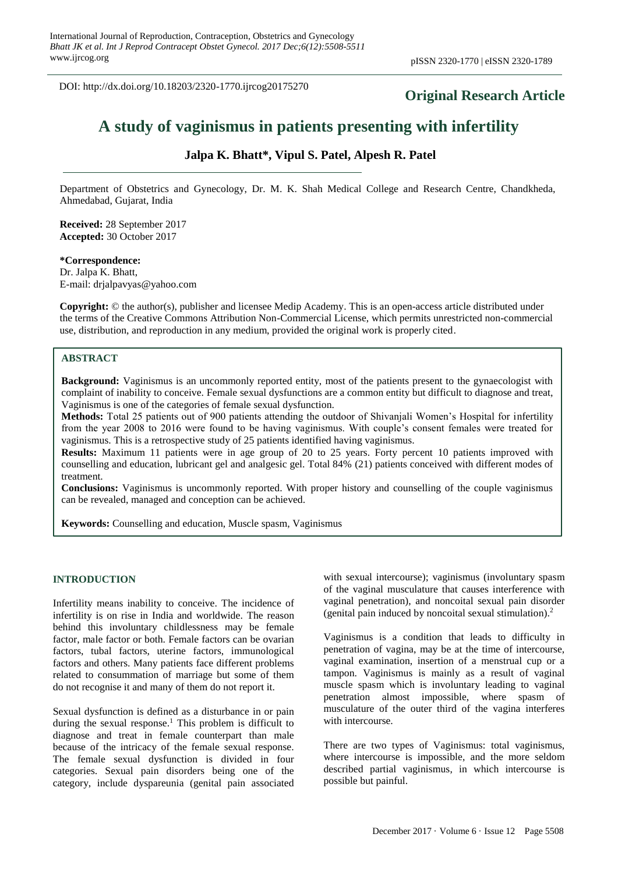DOI: http://dx.doi.org/10.18203/2320-1770.ijrcog20175270

# **Original Research Article**

# **A study of vaginismus in patients presenting with infertility**

# **Jalpa K. Bhatt\*, Vipul S. Patel, Alpesh R. Patel**

Department of Obstetrics and Gynecology, Dr. M. K. Shah Medical College and Research Centre, Chandkheda, Ahmedabad, Gujarat, India

**Received:** 28 September 2017 **Accepted:** 30 October 2017

# **\*Correspondence:**

Dr. Jalpa K. Bhatt, E-mail: drjalpavyas@yahoo.com

**Copyright:** © the author(s), publisher and licensee Medip Academy. This is an open-access article distributed under the terms of the Creative Commons Attribution Non-Commercial License, which permits unrestricted non-commercial use, distribution, and reproduction in any medium, provided the original work is properly cited.

# **ABSTRACT**

**Background:** Vaginismus is an uncommonly reported entity, most of the patients present to the gynaecologist with complaint of inability to conceive. Female sexual dysfunctions are a common entity but difficult to diagnose and treat, Vaginismus is one of the categories of female sexual dysfunction.

**Methods:** Total 25 patients out of 900 patients attending the outdoor of Shivanjali Women's Hospital for infertility from the year 2008 to 2016 were found to be having vaginismus. With couple's consent females were treated for vaginismus. This is a retrospective study of 25 patients identified having vaginismus.

**Results:** Maximum 11 patients were in age group of 20 to 25 years. Forty percent 10 patients improved with counselling and education, lubricant gel and analgesic gel. Total 84% (21) patients conceived with different modes of treatment.

**Conclusions:** Vaginismus is uncommonly reported. With proper history and counselling of the couple vaginismus can be revealed, managed and conception can be achieved.

**Keywords:** Counselling and education, Muscle spasm, Vaginismus

#### **INTRODUCTION**

Infertility means inability to conceive. The incidence of infertility is on rise in India and worldwide. The reason behind this involuntary childlessness may be female factor, male factor or both. Female factors can be ovarian factors, tubal factors, uterine factors, immunological factors and others. Many patients face different problems related to consummation of marriage but some of them do not recognise it and many of them do not report it.

Sexual dysfunction is defined as a disturbance in or pain during the sexual response.<sup>1</sup> This problem is difficult to diagnose and treat in female counterpart than male because of the intricacy of the female sexual response. The female sexual dysfunction is divided in four categories. Sexual pain disorders being one of the category, include dyspareunia (genital pain associated with sexual intercourse); vaginismus (involuntary spasm of the vaginal musculature that causes interference with vaginal penetration), and noncoital sexual pain disorder (genital pain induced by noncoital sexual stimulation). 2

Vaginismus is a condition that leads to difficulty in penetration of vagina, may be at the time of intercourse, vaginal examination, insertion of a menstrual cup or a tampon. Vaginismus is mainly as a result of vaginal muscle spasm which is involuntary leading to vaginal penetration almost impossible, where spasm of musculature of the outer third of the vagina interferes with intercourse.

There are two types of Vaginismus: total vaginismus, where intercourse is impossible, and the more seldom described partial vaginismus, in which intercourse is possible but painful.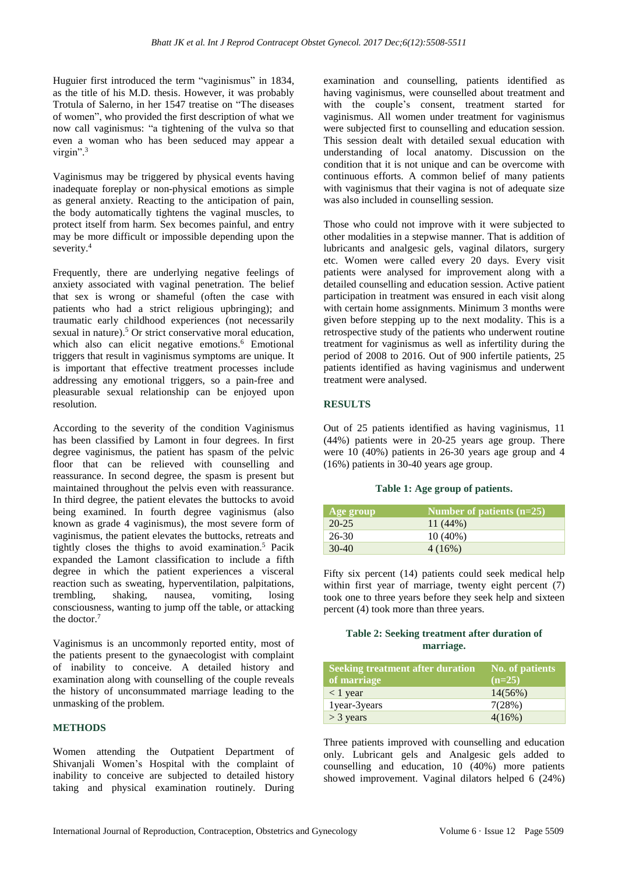Huguier first introduced the term "vaginismus" in 1834, as the title of his M.D. thesis. However, it was probably Trotula of Salerno, in her 1547 treatise on "The diseases of women", who provided the first description of what we now call vaginismus: "a tightening of the vulva so that even a woman who has been seduced may appear a virgin". 3

Vaginismus may be triggered by physical events having inadequate foreplay or non-physical emotions as simple as general anxiety. Reacting to the anticipation of pain, the body automatically tightens the vaginal muscles, to protect itself from harm. Sex becomes painful, and entry may be more difficult or impossible depending upon the severity.<sup>4</sup>

Frequently, there are underlying negative feelings of anxiety associated with vaginal penetration. The belief that sex is wrong or shameful (often the case with patients who had a strict religious upbringing); and traumatic early childhood experiences (not necessarily sexual in nature). <sup>5</sup> Or strict conservative moral education, which also can elicit negative emotions.<sup>6</sup> Emotional triggers that result in vaginismus symptoms are unique. It is important that effective treatment processes include addressing any emotional triggers, so a pain-free and pleasurable sexual relationship can be enjoyed upon resolution.

According to the severity of the condition Vaginismus has been classified by Lamont in four degrees. In first degree vaginismus, the patient has spasm of the pelvic floor that can be relieved with counselling and reassurance. In second degree, the spasm is present but maintained throughout the pelvis even with reassurance. In third degree, the patient elevates the buttocks to avoid being examined. In fourth degree vaginismus (also known as grade 4 vaginismus), the most severe form of vaginismus, the patient elevates the buttocks, retreats and tightly closes the thighs to avoid examination.<sup>5</sup> Pacik expanded the Lamont classification to include a fifth degree in which the patient experiences a visceral reaction such as sweating, hyperventilation, palpitations, trembling, shaking, nausea, vomiting, losing consciousness, wanting to jump off the table, or attacking the doctor.<sup>7</sup>

Vaginismus is an uncommonly reported entity, most of the patients present to the gynaecologist with complaint of inability to conceive. A detailed history and examination along with counselling of the couple reveals the history of unconsummated marriage leading to the unmasking of the problem.

#### **METHODS**

Women attending the Outpatient Department of Shivanjali Women's Hospital with the complaint of inability to conceive are subjected to detailed history taking and physical examination routinely. During examination and counselling, patients identified as having vaginismus, were counselled about treatment and with the couple's consent, treatment started for vaginismus. All women under treatment for vaginismus were subjected first to counselling and education session. This session dealt with detailed sexual education with understanding of local anatomy. Discussion on the condition that it is not unique and can be overcome with continuous efforts. A common belief of many patients with vaginismus that their vagina is not of adequate size was also included in counselling session.

Those who could not improve with it were subjected to other modalities in a stepwise manner. That is addition of lubricants and analgesic gels, vaginal dilators, surgery etc. Women were called every 20 days. Every visit patients were analysed for improvement along with a detailed counselling and education session. Active patient participation in treatment was ensured in each visit along with certain home assignments. Minimum 3 months were given before stepping up to the next modality. This is a retrospective study of the patients who underwent routine treatment for vaginismus as well as infertility during the period of 2008 to 2016. Out of 900 infertile patients, 25 patients identified as having vaginismus and underwent treatment were analysed.

# **RESULTS**

Out of 25 patients identified as having vaginismus, 11 (44%) patients were in 20-25 years age group. There were 10 (40%) patients in 26-30 years age group and 4 (16%) patients in 30-40 years age group.

#### **Table 1: Age group of patients.**

| Age group | Number of patients $(n=25)$ |
|-----------|-----------------------------|
| $20 - 25$ | $11(44\%)$                  |
| $26-30$   | $10(40\%)$                  |
| $30-40$   | 4(16%)                      |

Fifty six percent (14) patients could seek medical help within first year of marriage, twenty eight percent  $(7)$ took one to three years before they seek help and sixteen percent (4) took more than three years.

# **Table 2: Seeking treatment after duration of marriage.**

| <b>Seeking treatment after duration</b> | No. of patients |
|-----------------------------------------|-----------------|
| of marriage                             | $(n=25)$        |
| $< 1$ year                              | $14(56\%)$      |
| 1year-3years                            | 7(28%)          |
| $>$ 3 years                             | 4(16%)          |

Three patients improved with counselling and education only. Lubricant gels and Analgesic gels added to counselling and education, 10 (40%) more patients showed improvement. Vaginal dilators helped  $\vec{6}$  (24%)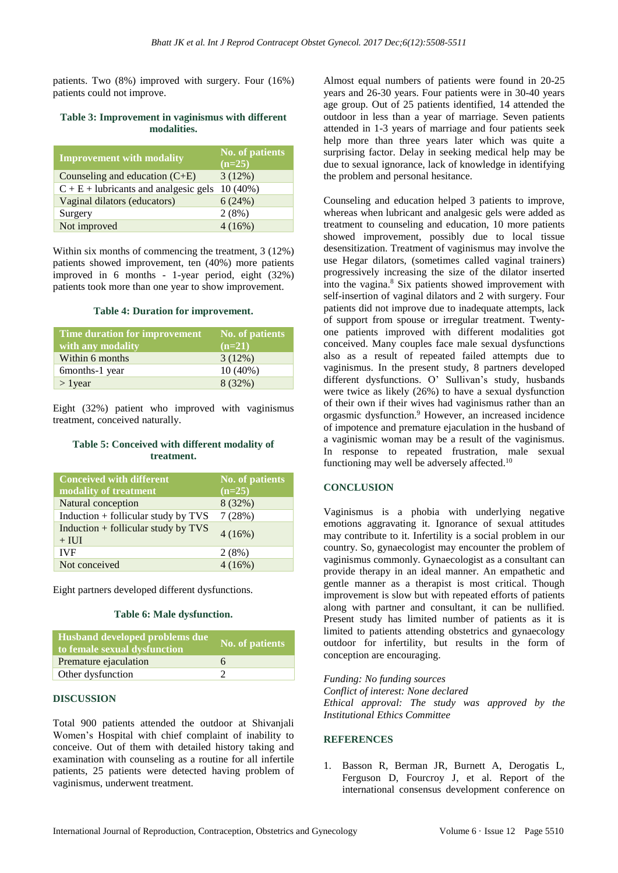patients. Two (8%) improved with surgery. Four (16%) patients could not improve.

### **Table 3: Improvement in vaginismus with different modalities.**

| <b>Improvement with modality</b>        | <b>No. of patients</b><br>$(n=25)$ |
|-----------------------------------------|------------------------------------|
| Counseling and education $(C+E)$        | 3(12%)                             |
| $C + E$ + lubricants and analgesic gels | $10(40\%)$                         |
| Vaginal dilators (educators)            | 6(24%)                             |
| Surgery                                 | 2(8%)                              |
| Not improved                            | 4(16%)                             |

Within six months of commencing the treatment, 3 (12%) patients showed improvement, ten (40%) more patients improved in 6 months - 1-year period, eight (32%) patients took more than one year to show improvement.

# **Table 4: Duration for improvement.**

| Time duration for improvement | No. of patients |
|-------------------------------|-----------------|
| with any modality             | $(n=21)$        |
| Within 6 months               | 3(12%)          |
| 6months-1 year                | $10(40\%)$      |
| $>$ 1 year                    | 8(32%)          |

Eight (32%) patient who improved with vaginismus treatment, conceived naturally.

#### **Table 5: Conceived with different modality of treatment.**

| <b>Conceived with different</b><br>modality of treatment | <b>No. of patients</b><br>$(n=25)$ |
|----------------------------------------------------------|------------------------------------|
| Natural conception                                       | 8(32%)                             |
| Induction $+$ follicular study by TVS                    | 7(28%)                             |
| Induction $+$ follicular study by TVS<br>$+$ IUI         | 4(16%)                             |
| <b>IVF</b>                                               | 2(8%)                              |
| Not conceived                                            | 4(16%)                             |

Eight partners developed different dysfunctions.

#### **Table 6: Male dysfunction.**

| Husband developed problems due<br>to female sexual dysfunction | No. of patients |
|----------------------------------------------------------------|-----------------|
| Premature ejaculation                                          | 6               |
| Other dysfunction                                              |                 |

#### **DISCUSSION**

Total 900 patients attended the outdoor at Shivanjali Women's Hospital with chief complaint of inability to conceive. Out of them with detailed history taking and examination with counseling as a routine for all infertile patients, 25 patients were detected having problem of vaginismus, underwent treatment.

Almost equal numbers of patients were found in 20-25 years and 26-30 years. Four patients were in 30-40 years age group. Out of 25 patients identified, 14 attended the outdoor in less than a year of marriage. Seven patients attended in 1-3 years of marriage and four patients seek help more than three years later which was quite a surprising factor. Delay in seeking medical help may be due to sexual ignorance, lack of knowledge in identifying the problem and personal hesitance.

Counseling and education helped 3 patients to improve, whereas when lubricant and analgesic gels were added as treatment to counseling and education, 10 more patients showed improvement, possibly due to local tissue desensitization. Treatment of vaginismus may involve the use Hegar dilators, (sometimes called vaginal trainers) progressively increasing the size of the dilator inserted into the vagina.<sup>8</sup> Six patients showed improvement with self-insertion of vaginal dilators and 2 with surgery. Four patients did not improve due to inadequate attempts, lack of support from spouse or irregular treatment. Twentyone patients improved with different modalities got conceived. Many couples face male sexual dysfunctions also as a result of repeated failed attempts due to vaginismus. In the present study, 8 partners developed different dysfunctions. O' Sullivan's study, husbands were twice as likely (26%) to have a sexual dysfunction of their own if their wives had vaginismus rather than an orgasmic dysfunction.<sup>9</sup> However, an increased incidence of impotence and premature ejaculation in the husband of a vaginismic woman may be a result of the vaginismus. In response to repeated frustration, male sexual functioning may well be adversely affected.<sup>10</sup>

## **CONCLUSION**

Vaginismus is a phobia with underlying negative emotions aggravating it. Ignorance of sexual attitudes may contribute to it. Infertility is a social problem in our country. So, gynaecologist may encounter the problem of vaginismus commonly. Gynaecologist as a consultant can provide therapy in an ideal manner. An empathetic and gentle manner as a therapist is most critical. Though improvement is slow but with repeated efforts of patients along with partner and consultant, it can be nullified. Present study has limited number of patients as it is limited to patients attending obstetrics and gynaecology outdoor for infertility, but results in the form of conception are encouraging.

*Funding: No funding sources Conflict of interest: None declared Ethical approval: The study was approved by the Institutional Ethics Committee*

### **REFERENCES**

1. Basson R, Berman JR, Burnett A, Derogatis L, Ferguson D, Fourcroy J, et al. Report of the international consensus development conference on